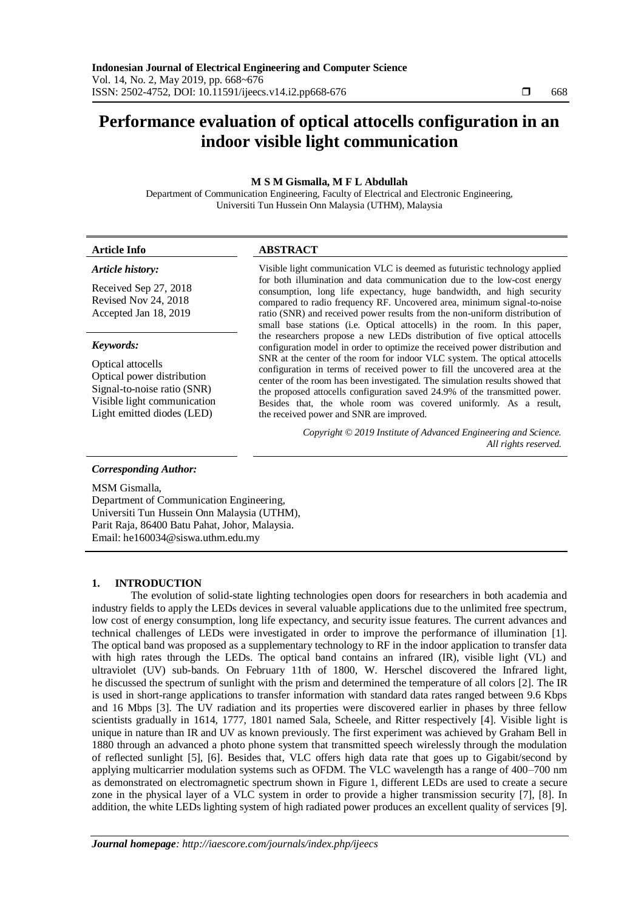# **Performance evaluation of optical attocells configuration in an indoor visible light communication**

## **M S M Gismalla, M F L Abdullah**

Department of Communication Engineering, Faculty of Electrical and Electronic Engineering, Universiti Tun Hussein Onn Malaysia (UTHM), Malaysia

| <b>Article Info</b>                                                                                                                                      | <b>ABSTRACT</b>                                                                                                                                                                                                                                                                                                                                                                                                                                                                                                                                                                                     |  |  |  |
|----------------------------------------------------------------------------------------------------------------------------------------------------------|-----------------------------------------------------------------------------------------------------------------------------------------------------------------------------------------------------------------------------------------------------------------------------------------------------------------------------------------------------------------------------------------------------------------------------------------------------------------------------------------------------------------------------------------------------------------------------------------------------|--|--|--|
| Article history:                                                                                                                                         | Visible light communication VLC is deemed as futuristic technology applied                                                                                                                                                                                                                                                                                                                                                                                                                                                                                                                          |  |  |  |
| Received Sep 27, 2018<br>Revised Nov 24, 2018<br>Accepted Jan 18, 2019                                                                                   | for both illumination and data communication due to the low-cost energy<br>consumption, long life expectancy, huge bandwidth, and high security<br>compared to radio frequency RF. Uncovered area, minimum signal-to-noise<br>ratio (SNR) and received power results from the non-uniform distribution of<br>small base stations (i.e. Optical attocells) in the room. In this paper,                                                                                                                                                                                                               |  |  |  |
| Keywords:<br>Optical attocells<br>Optical power distribution<br>Signal-to-noise ratio (SNR)<br>Visible light communication<br>Light emitted diodes (LED) | the researchers propose a new LEDs distribution of five optical attocells<br>configuration model in order to optimize the received power distribution and<br>SNR at the center of the room for indoor VLC system. The optical attocells<br>configuration in terms of received power to fill the uncovered area at the<br>center of the room has been investigated. The simulation results showed that<br>the proposed attocells configuration saved 24.9% of the transmitted power.<br>Besides that, the whole room was covered uniformly. As a result,<br>the received power and SNR are improved. |  |  |  |
|                                                                                                                                                          | Copyright © 2019 Institute of Advanced Engineering and Science.<br>All rights reserved.                                                                                                                                                                                                                                                                                                                                                                                                                                                                                                             |  |  |  |

## *Corresponding Author:*

MSM Gismalla,

Department of Communication Engineering, Universiti Tun Hussein Onn Malaysia (UTHM), Parit Raja, 86400 Batu Pahat, Johor, Malaysia. Email: he160034@siswa.uthm.edu.my

#### **1. INTRODUCTION**

The evolution of solid-state lighting technologies open doors for researchers in both academia and industry fields to apply the LEDs devices in several valuable applications due to the unlimited free spectrum, low cost of energy consumption, long life expectancy, and security issue features. The current advances and technical challenges of LEDs were investigated in order to improve the performance of illumination [1]. The optical band was proposed as a supplementary technology to RF in the indoor application to transfer data with high rates through the LEDs. The optical band contains an infrared (IR), visible light (VL) and ultraviolet (UV) sub-bands. On February 11th of 1800, W. Herschel discovered the Infrared light, he discussed the spectrum of sunlight with the prism and determined the temperature of all colors [2]. The IR is used in short-range applications to transfer information with standard data rates ranged between 9.6 Kbps and 16 Mbps [3]. The UV radiation and its properties were discovered earlier in phases by three fellow scientists gradually in 1614, 1777, 1801 named Sala, Scheele, and Ritter respectively [4]. Visible light is unique in nature than IR and UV as known previously. The first experiment was achieved by Graham Bell in 1880 through an advanced a photo phone system that transmitted speech wirelessly through the modulation of reflected sunlight [5], [6]. Besides that, VLC offers high data rate that goes up to Gigabit/second by applying multicarrier modulation systems such as OFDM. The VLC wavelength has a range of 400–700 nm as demonstrated on electromagnetic spectrum shown in Figure 1, different LEDs are used to create a secure zone in the physical layer of a VLC system in order to provide a higher transmission security [7], [8]. In addition, the white LEDs lighting system of high radiated power produces an excellent quality of services [9].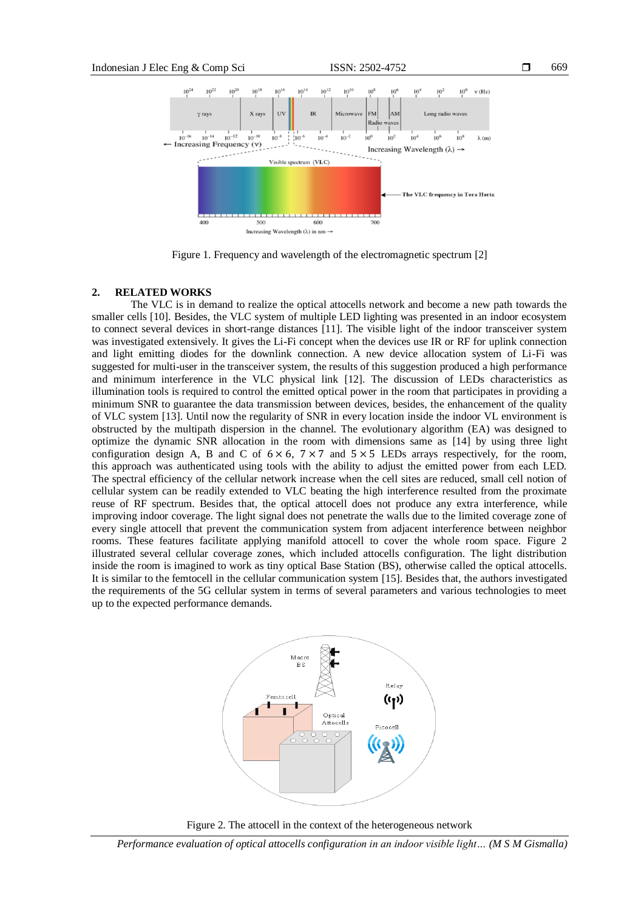

Figure 1. Frequency and wavelength of the electromagnetic spectrum [2]

## **2. RELATED WORKS**

The VLC is in demand to realize the optical attocells network and become a new path towards the smaller cells [10]. Besides, the VLC system of multiple LED lighting was presented in an indoor ecosystem to connect several devices in short-range distances [11]. The visible light of the indoor transceiver system was investigated extensively. It gives the Li-Fi concept when the devices use IR or RF for uplink connection and light emitting diodes for the downlink connection. A new device allocation system of Li-Fi was suggested for multi-user in the transceiver system, the results of this suggestion produced a high performance and minimum interference in the VLC physical link [12]. The discussion of LEDs characteristics as illumination tools is required to control the emitted optical power in the room that participates in providing a minimum SNR to guarantee the data transmission between devices, besides, the enhancement of the quality of VLC system [13]. Until now the regularity of SNR in every location inside the indoor VL environment is obstructed by the multipath dispersion in the channel. The evolutionary algorithm (EA) was designed to optimize the dynamic SNR allocation in the room with dimensions same as [14] by using three light configuration design A, B and C of  $6 \times 6$ ,  $7 \times 7$  and  $5 \times 5$  LEDs arrays respectively, for the room, this approach was authenticated using tools with the ability to adjust the emitted power from each LED. The spectral efficiency of the cellular network increase when the cell sites are reduced, small cell notion of cellular system can be readily extended to VLC beating the high interference resulted from the proximate reuse of RF spectrum. Besides that, the optical attocell does not produce any extra interference, while improving indoor coverage. The light signal does not penetrate the walls due to the limited coverage zone of every single attocell that prevent the communication system from adjacent interference between neighbor rooms. These features facilitate applying manifold attocell to cover the whole room space. Figure 2 illustrated several cellular coverage zones, which included attocells configuration. The light distribution inside the room is imagined to work as tiny optical Base Station (BS), otherwise called the optical attocells. It is similar to the femtocell in the cellular communication system [15]. Besides that, the authors investigated the requirements of the 5G cellular system in terms of several parameters and various technologies to meet up to the expected performance demands.





*Performance evaluation of optical attocells configuration in an indoor visible light… (M S M Gismalla)*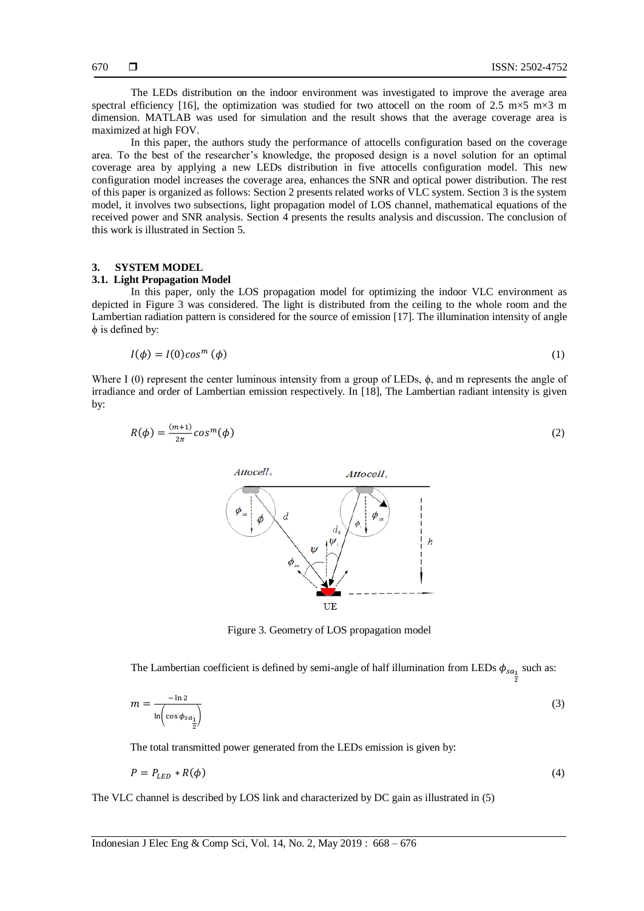$\overline{\mathbf{z}}$ 

The LEDs distribution on the indoor environment was investigated to improve the average area spectral efficiency [16], the optimization was studied for two attocell on the room of 2.5 m $\times$ 5 m $\times$ 3 m dimension. MATLAB was used for simulation and the result shows that the average coverage area is maximized at high FOV.

In this paper, the authors study the performance of attocells configuration based on the coverage area. To the best of the researcher's knowledge, the proposed design is a novel solution for an optimal coverage area by applying a new LEDs distribution in five attocells configuration model. This new configuration model increases the coverage area, enhances the SNR and optical power distribution. The rest of this paper is organized as follows: Section 2 presents related works of VLC system. Section 3 is the system model, it involves two subsections, light propagation model of LOS channel, mathematical equations of the received power and SNR analysis. Section 4 presents the results analysis and discussion. The conclusion of this work is illustrated in Section 5.

#### **3. SYSTEM MODEL**

## **3.1. Light Propagation Model**

In this paper, only the LOS propagation model for optimizing the indoor VLC environment as depicted in Figure 3 was considered. The light is distributed from the ceiling to the whole room and the Lambertian radiation pattern is considered for the source of emission [17]. The illumination intensity of angle ϕ is defined by:

$$
I(\phi) = I(0)cos^{m}(\phi)
$$
 (1)

Where I (0) represent the center luminous intensity from a group of LEDs,  $\phi$ , and m represents the angle of irradiance and order of Lambertian emission respectively. In [18], The Lambertian radiant intensity is given by:

$$
R(\phi) = \frac{(m+1)}{2\pi} \cos^m(\phi) \tag{2}
$$



Figure 3. Geometry of LOS propagation model

The Lambertian coefficient is defined by semi-angle of half illumination from LEDs  $\phi_{sa}$ , such as:

$$
m = \frac{-\ln 2}{\ln \left( \cos \phi_{sa_{\frac{1}{2}}} \right)}\tag{3}
$$

The total transmitted power generated from the LEDs emission is given by:

$$
P = P_{LED} * R(\phi) \tag{4}
$$

The VLC channel is described by LOS link and characterized by DC gain as illustrated in (5)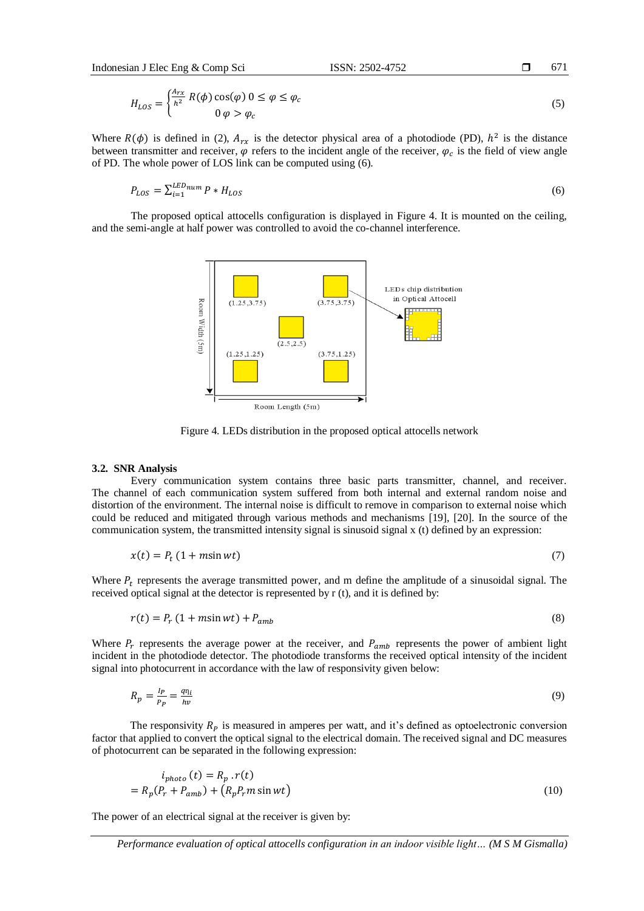$$
H_{LOS} = \begin{cases} \frac{A_{rx}}{h^2} R(\phi) \cos(\varphi) \ 0 \le \varphi \le \varphi_c \\ 0 \ \varphi > \varphi_c \end{cases}
$$
 (5)

Where  $R(\phi)$  is defined in (2),  $A_{rx}$  is the detector physical area of a photodiode (PD),  $h^2$  is the distance between transmitter and receiver,  $\varphi$  refers to the incident angle of the receiver,  $\varphi_c$  is the field of view angle of PD. The whole power of LOS link can be computed using (6).

$$
P_{LOS} = \sum_{i=1}^{LEDnum} P * H_{LOS} \tag{6}
$$

The proposed optical attocells configuration is displayed in Figure 4. It is mounted on the ceiling, and the semi-angle at half power was controlled to avoid the co-channel interference.



Figure 4. LEDs distribution in the proposed optical attocells network

#### **3.2. SNR Analysis**

Every communication system contains three basic parts transmitter, channel, and receiver. The channel of each communication system suffered from both internal and external random noise and distortion of the environment. The internal noise is difficult to remove in comparison to external noise which could be reduced and mitigated through various methods and mechanisms [19], [20]. In the source of the communication system, the transmitted intensity signal is sinusoid signal x (t) defined by an expression:

$$
x(t) = P_t (1 + m\sin wt) \tag{7}
$$

Where  $P_t$  represents the average transmitted power, and m define the amplitude of a sinusoidal signal. The received optical signal at the detector is represented by r (t), and it is defined by:

$$
r(t) = P_r (1 + m\sin wt) + P_{amb}
$$
\n<sup>(8)</sup>

Where  $P_r$  represents the average power at the receiver, and  $P_{amb}$  represents the power of ambient light incident in the photodiode detector. The photodiode transforms the received optical intensity of the incident signal into photocurrent in accordance with the law of responsivity given below:

$$
R_p = \frac{I_P}{P_P} = \frac{q\eta_l}{hv} \tag{9}
$$

The responsivity  $R_p$  is measured in amperes per watt, and it's defined as optoelectronic conversion factor that applied to convert the optical signal to the electrical domain. The received signal and DC measures of photocurrent can be separated in the following expression:

$$
i_{photo}(t) = R_p \cdot r(t)
$$
  
=  $R_p(P_r + P_{amb}) + (R_p P_r m \sin wt)$  (10)

The power of an electrical signal at the receiver is given by: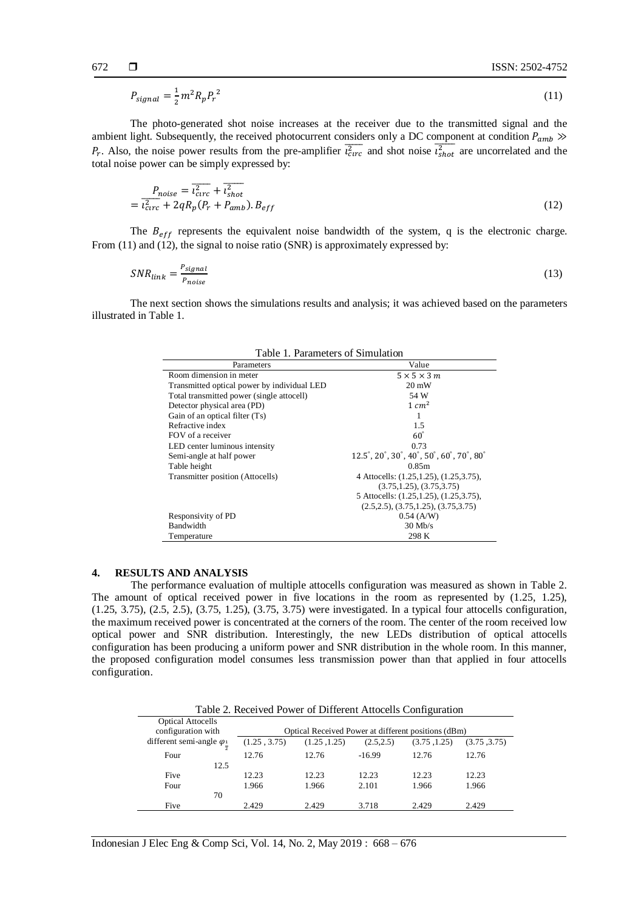$$
P_{signal} = \frac{1}{2}m^2 R_p P_r^2 \tag{11}
$$

The photo-generated shot noise increases at the receiver due to the transmitted signal and the ambient light. Subsequently, the received photocurrent considers only a DC component at condition  $P_{amb}$  $P_r$ . Also, the noise power results from the pre-amplifier  $\overline{t_{\text{error}}^2}$  and shot noise  $\overline{t_{\text{shot}}^2}$  are uncorrelated and the total noise power can be simply expressed by:

$$
P_{noise} = \overline{i_{circ}^2} + \overline{i_{shot}^2}
$$
  
=  $\overline{i_{circ}^2} + 2qR_p(P_r + P_{amb})$ .  $B_{eff}$  (12)

The  $B_{eff}$  represents the equivalent noise bandwidth of the system, q is the electronic charge. From (11) and (12), the signal to noise ratio (SNR) is approximately expressed by:

$$
SNR_{link} = \frac{P_{signal}}{P_{noise}} \tag{13}
$$

The next section shows the simulations results and analysis; it was achieved based on the parameters illustrated in Table 1.

| Table 1. Parameters of Simulation           |                                                                                                    |  |  |  |
|---------------------------------------------|----------------------------------------------------------------------------------------------------|--|--|--|
| Parameters                                  | Value                                                                                              |  |  |  |
| Room dimension in meter                     | $5 \times 5 \times 3$ m                                                                            |  |  |  |
| Transmitted optical power by individual LED | $20 \text{ mW}$                                                                                    |  |  |  |
| Total transmitted power (single attocell)   | 54 W                                                                                               |  |  |  |
| Detector physical area (PD)                 | $1 \, \text{cm}^2$                                                                                 |  |  |  |
| Gain of an optical filter $(Ts)$            |                                                                                                    |  |  |  |
| Refractive index                            | 1.5                                                                                                |  |  |  |
| FOV of a receiver                           | $60^\circ$                                                                                         |  |  |  |
| LED center luminous intensity               | 0.73                                                                                               |  |  |  |
| Semi-angle at half power                    | $12.5^{\circ}, 20^{\circ}, 30^{\circ}, 40^{\circ}, 50^{\circ}, 60^{\circ}, 70^{\circ}, 80^{\circ}$ |  |  |  |
| Table height                                | 0.85m                                                                                              |  |  |  |
| Transmitter position (Attocells)            | 4 Attocells: (1.25, 1.25), (1.25, 3.75),                                                           |  |  |  |
|                                             | (3.75, 1.25), (3.75, 3.75)                                                                         |  |  |  |
|                                             | 5 Attocells: (1.25, 1.25), (1.25, 3.75),                                                           |  |  |  |
|                                             | $(2.5, 2.5), (3.75, 1.25), (3.75, 3.75)$                                                           |  |  |  |
| Responsivity of PD                          | $0.54$ (A/W)                                                                                       |  |  |  |
| Bandwidth                                   | $30$ Mb/s                                                                                          |  |  |  |
| Temperature                                 | 298 K                                                                                              |  |  |  |

#### **4. RESULTS AND ANALYSIS**

The performance evaluation of multiple attocells configuration was measured as shown in Table 2. The amount of optical received power in five locations in the room as represented by (1.25, 1.25), (1.25, 3.75), (2.5, 2.5), (3.75, 1.25), (3.75, 3.75) were investigated. In a typical four attocells configuration, the maximum received power is concentrated at the corners of the room. The center of the room received low optical power and SNR distribution. Interestingly, the new LEDs distribution of optical attocells configuration has been producing a uniform power and SNR distribution in the whole room. In this manner, the proposed configuration model consumes less transmission power than that applied in four attocells configuration.

| Table 2. Received Power of Different Attocells Configuration |      |                                                     |              |            |              |              |
|--------------------------------------------------------------|------|-----------------------------------------------------|--------------|------------|--------------|--------------|
| <b>Optical Attocells</b><br>configuration with               |      | Optical Received Power at different positions (dBm) |              |            |              |              |
| different semi-angle $\varphi_1$                             |      | (1.25, 3.75)                                        | (1.25, 1.25) | (2.5, 2.5) | (3.75, 1.25) | (3.75, 3.75) |
| Four                                                         |      | 12.76                                               | 12.76        | $-16.99$   | 12.76        | 12.76        |
|                                                              | 12.5 |                                                     |              |            |              |              |
| Five                                                         |      | 12.23                                               | 12.23        | 12.23      | 12.23        | 12.23        |
| Four                                                         |      | 1.966                                               | 1.966        | 2.101      | 1.966        | 1.966        |
|                                                              | 70   |                                                     |              |            |              |              |
| Five                                                         |      | 2.429                                               | 2.429        | 3.718      | 2.429        | 2.429        |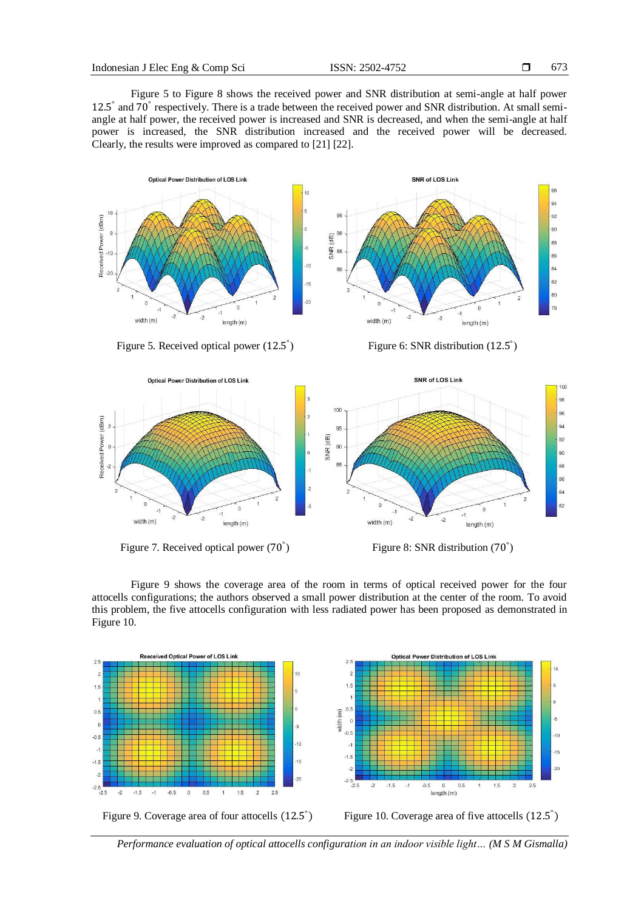673

Figure 5 to Figure 8 shows the received power and SNR distribution at semi-angle at half power 12.5° and 70° respectively. There is a trade between the received power and SNR distribution. At small semiangle at half power, the received power is increased and SNR is decreased, and when the semi-angle at half power is increased, the SNR distribution increased and the received power will be decreased. Clearly, the results were improved as compared to [21] [22].



Figure 5. Received optical power (12.5<sup>°</sup>

 $P_{\text{Figure 6: SNR distribution (12.5)}^{\circ}$ 



Figure 7. Received optical power (70<sup>°</sup>)

 $P_{\text{Figure 8: SNR distribution (70}^{\circ})$ 

Figure 9 shows the coverage area of the room in terms of optical received power for the four attocells configurations; the authors observed a small power distribution at the center of the room. To avoid this problem, the five attocells configuration with less radiated power has been proposed as demonstrated in Figure 10.







*Performance evaluation of optical attocells configuration in an indoor visible light… (M S M Gismalla)*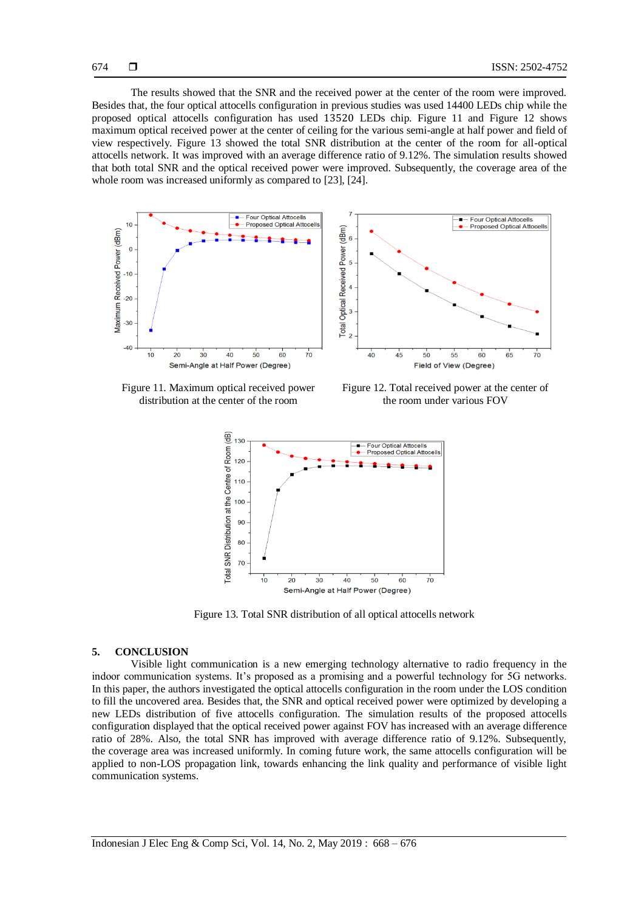The results showed that the SNR and the received power at the center of the room were improved. Besides that, the four optical attocells configuration in previous studies was used 14400 LEDs chip while the proposed optical attocells configuration has used LEDs chip. Figure 11 and Figure 12 shows maximum optical received power at the center of ceiling for the various semi-angle at half power and field of view respectively. Figure 13 showed the total SNR distribution at the center of the room for all-optical attocells network. It was improved with an average difference ratio of 9.12%. The simulation results showed that both total SNR and the optical received power were improved. Subsequently, the coverage area of the whole room was increased uniformly as compared to [23], [24].



Figure 11. Maximum optical received power distribution at the center of the room

Figure 12. Total received power at the center of the room under various FOV



Figure 13. Total SNR distribution of all optical attocells network

#### **5. CONCLUSION**

Visible light communication is a new emerging technology alternative to radio frequency in the indoor communication systems. It's proposed as a promising and a powerful technology for 5G networks. In this paper, the authors investigated the optical attocells configuration in the room under the LOS condition to fill the uncovered area. Besides that, the SNR and optical received power were optimized by developing a new LEDs distribution of five attocells configuration. The simulation results of the proposed attocells configuration displayed that the optical received power against FOV has increased with an average difference ratio of 28%. Also, the total SNR has improved with average difference ratio of 9.12%. Subsequently, the coverage area was increased uniformly. In coming future work, the same attocells configuration will be applied to non-LOS propagation link, towards enhancing the link quality and performance of visible light communication systems.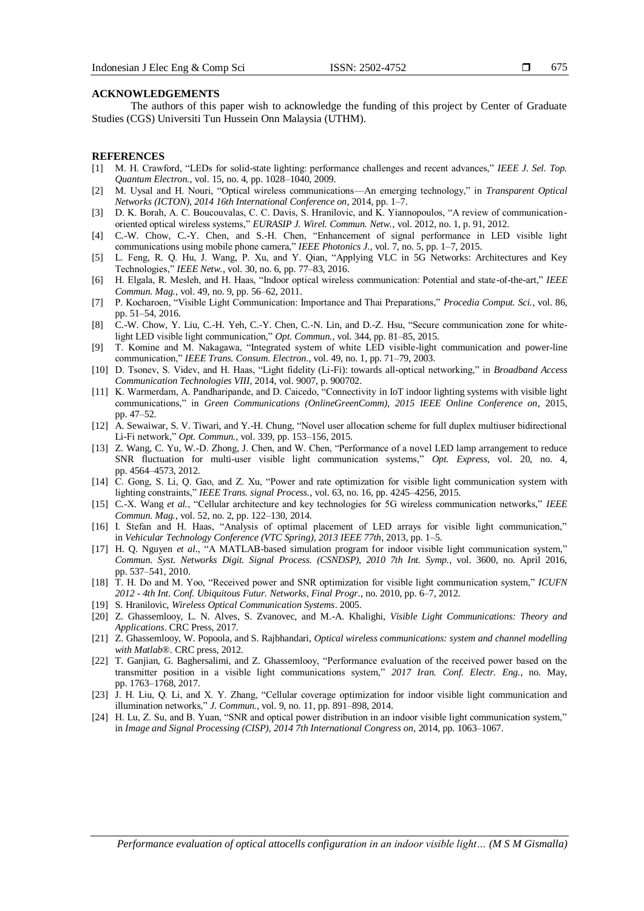675

#### **ACKNOWLEDGEMENTS**

The authors of this paper wish to acknowledge the funding of this project by Center of Graduate Studies (CGS) Universiti Tun Hussein Onn Malaysia (UTHM).

#### **REFERENCES**

- [1] M. H. Crawford, "LEDs for solid-state lighting: performance challenges and recent advances," *IEEE J. Sel. Top. Quantum Electron.*, vol. 15, no. 4, pp. 1028–1040, 2009.
- [2] M. Uysal and H. Nouri, ―Optical wireless communications—An emerging technology,‖ in *Transparent Optical Networks (ICTON), 2014 16th International Conference on*, 2014, pp. 1–7.
- [3] D. K. Borah, A. C. Boucouvalas, C. C. Davis, S. Hranilovic, and K. Yiannopoulos, "A review of communicationoriented optical wireless systems," *EURASIP J. Wirel. Commun. Netw.*, vol. 2012, no. 1, p. 91, 2012.
- [4] C.-W. Chow, C.-Y. Chen, and S.-H. Chen, "Enhancement of signal performance in LED visible light communications using mobile phone camera," *IEEE Photonics J.*, vol. 7, no. 5, pp. 1–7, 2015.
- [5] L. Feng, R. Q. Hu, J. Wang, P. Xu, and Y. Qian, "Applying VLC in 5G Networks: Architectures and Key Technologies,‖ *IEEE Netw.*, vol. 30, no. 6, pp. 77–83, 2016.
- [6] H. Elgala, R. Mesleh, and H. Haas, "Indoor optical wireless communication: Potential and state-of-the-art," IEEE *Commun. Mag.*, vol. 49, no. 9, pp. 56–62, 2011.
- [7] P. Kocharoen, "Visible Light Communication: Importance and Thai Preparations," Procedia Comput. Sci., vol. 86, pp. 51–54, 2016.
- [8] C.-W. Chow, Y. Liu, C.-H. Yeh, C.-Y. Chen, C.-N. Lin, and D.-Z. Hsu, "Secure communication zone for whitelight LED visible light communication," Opt. Commun., vol. 344, pp. 81-85, 2015.
- [9] T. Komine and M. Nakagawa, "Integrated system of white LED visible-light communication and power-line communication," IEEE Trans. Consum. Electron., vol. 49, no. 1, pp. 71-79, 2003.
- [10] D. Tsonev, S. Videv, and H. Haas, "Light fidelity (Li-Fi): towards all-optical networking," in *Broadband Access Communication Technologies VIII*, 2014, vol. 9007, p. 900702.
- [11] K. Warmerdam, A. Pandharipande, and D. Caicedo, "Connectivity in IoT indoor lighting systems with visible light communications,‖ in *Green Communications (OnlineGreenComm), 2015 IEEE Online Conference on*, 2015, pp. 47–52.
- [12] A. Sewaiwar, S. V. Tiwari, and Y.-H. Chung, "Novel user allocation scheme for full duplex multiuser bidirectional Li-Fi network," *Opt. Commun.*, vol. 339, pp. 153–156, 2015.
- [13] Z. Wang, C. Yu, W.-D. Zhong, J. Chen, and W. Chen, "Performance of a novel LED lamp arrangement to reduce SNR fluctuation for multi-user visible light communication systems," Opt. Express, vol. 20, no. 4, pp. 4564–4573, 2012.
- [14] C. Gong, S. Li, Q. Gao, and Z. Xu, "Power and rate optimization for visible light communication system with lighting constraints," IEEE Trans. signal Process., vol. 63, no. 16, pp. 4245-4256, 2015.
- [15] C.-X. Wang *et al.*, "Cellular architecture and key technologies for 5G wireless communication networks," IEEE *Commun. Mag.*, vol. 52, no. 2, pp. 122–130, 2014.
- [16] I. Stefan and H. Haas, "Analysis of optimal placement of LED arrays for visible light communication," in *Vehicular Technology Conference (VTC Spring), 2013 IEEE 77th*, 2013, pp. 1–5.
- [17] H. Q. Nguyen *et al.*, "A MATLAB-based simulation program for indoor visible light communication system," *Commun. Syst. Networks Digit. Signal Process. (CSNDSP), 2010 7th Int. Symp.*, vol. 3600, no. April 2016, pp. 537–541, 2010.
- [18] T. H. Do and M. Yoo, "Received power and SNR optimization for visible light communication system," *ICUFN 2012 - 4th Int. Conf. Ubiquitous Futur. Networks, Final Progr.*, no. 2010, pp. 6–7, 2012.
- [19] S. Hranilovic, *Wireless Optical Communication Systems*. 2005.
- [20] Z. Ghassemlooy, L. N. Alves, S. Zvanovec, and M.-A. Khalighi, *Visible Light Communications: Theory and Applications*. CRC Press, 2017.
- [21] Z. Ghassemlooy, W. Popoola, and S. Rajbhandari, *Optical wireless communications: system and channel modelling with Matlab®*. CRC press, 2012.
- [22] T. Ganjian, G. Baghersalimi, and Z. Ghassemlooy, "Performance evaluation of the received power based on the transmitter position in a visible light communications system," 2017 Iran. Conf. Electr. Eng., no. May, pp. 1763–1768, 2017.
- [23] J. H. Liu, Q. Li, and X. Y. Zhang, "Cellular coverage optimization for indoor visible light communication and illumination networks," *J. Commun.*, vol. 9, no. 11, pp. 891-898, 2014.
- [24] H. Lu, Z. Su, and B. Yuan, "SNR and optical power distribution in an indoor visible light communication system," in *Image and Signal Processing (CISP), 2014 7th International Congress on*, 2014, pp. 1063–1067.